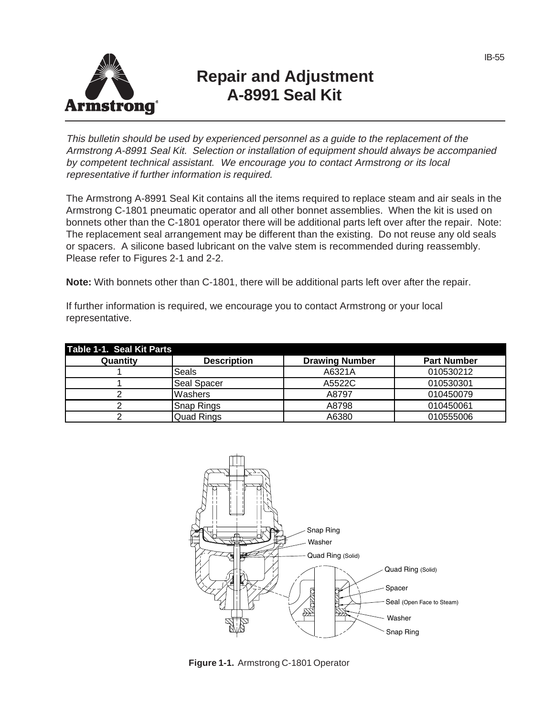

## **Repair and Adjustment A-8991 Seal Kit**

This bulletin should be used by experienced personnel as a guide to the replacement of the Armstrong A-8991 Seal Kit. Selection or installation of equipment should always be accompanied by competent technical assistant. We encourage you to contact Armstrong or its local representative if further information is required.

The Armstrong A-8991 Seal Kit contains all the items required to replace steam and air seals in the Armstrong C-1801 pneumatic operator and all other bonnet assemblies. When the kit is used on bonnets other than the C-1801 operator there will be additional parts left over after the repair. Note: The replacement seal arrangement may be different than the existing. Do not reuse any old seals or spacers. A silicone based lubricant on the valve stem is recommended during reassembly. Please refer to Figures 2-1 and 2-2.

**Note:** With bonnets other than C-1801, there will be additional parts left over after the repair.

If further information is required, we encourage you to contact Armstrong or your local representative.

| Table 1-1. Seal Kit Parts |                    |                       |                    |
|---------------------------|--------------------|-----------------------|--------------------|
| Quantity                  | <b>Description</b> | <b>Drawing Number</b> | <b>Part Number</b> |
|                           | Seals              | A6321A                | 010530212          |
|                           | Seal Spacer        | A5522C                | 010530301          |
|                           | Washers            | A8797                 | 010450079          |
|                           | Snap Rings         | A8798                 | 010450061          |
|                           | Quad Rings         | A6380                 | 010555006          |



**Figure 1-1.** Armstrong C-1801 Operator